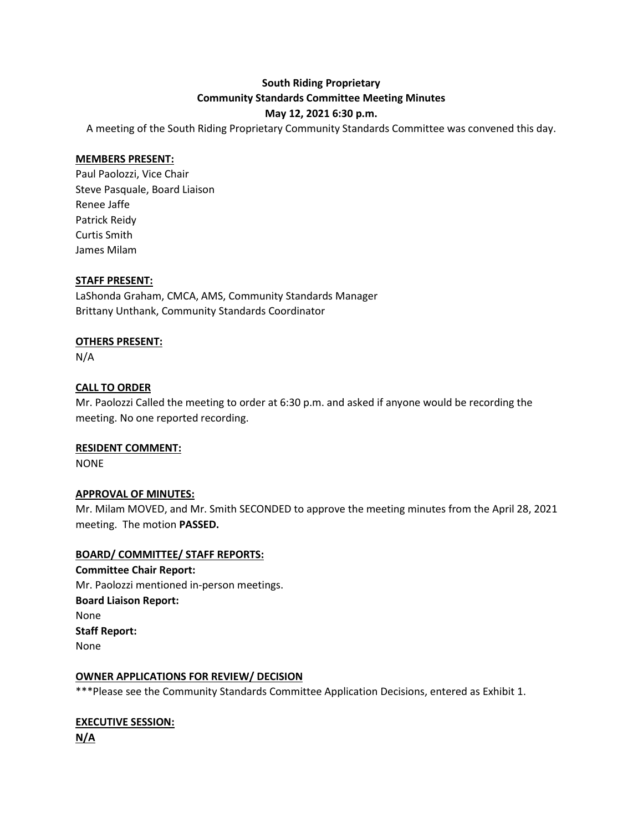# **South Riding Proprietary Community Standards Committee Meeting Minutes**

### **May 12, 2021 6:30 p.m.**

A meeting of the South Riding Proprietary Community Standards Committee was convened this day.

#### **MEMBERS PRESENT:**

Paul Paolozzi, Vice Chair Steve Pasquale, Board Liaison Renee Jaffe Patrick Reidy Curtis Smith James Milam

#### **STAFF PRESENT:**

LaShonda Graham, CMCA, AMS, Community Standards Manager Brittany Unthank, Community Standards Coordinator

#### **OTHERS PRESENT:**

N/A

#### **CALL TO ORDER**

Mr. Paolozzi Called the meeting to order at 6:30 p.m. and asked if anyone would be recording the meeting. No one reported recording.

#### **RESIDENT COMMENT:**

NONE

#### **APPROVAL OF MINUTES:**

Mr. Milam MOVED, and Mr. Smith SECONDED to approve the meeting minutes from the April 28, 2021 meeting. The motion **PASSED.**

#### **BOARD/ COMMITTEE/ STAFF REPORTS:**

**Committee Chair Report:** Mr. Paolozzi mentioned in-person meetings. **Board Liaison Report:** None **Staff Report:** None

#### **OWNER APPLICATIONS FOR REVIEW/ DECISION**

\*\*\*Please see the Community Standards Committee Application Decisions, entered as Exhibit 1.

## **EXECUTIVE SESSION: N/A**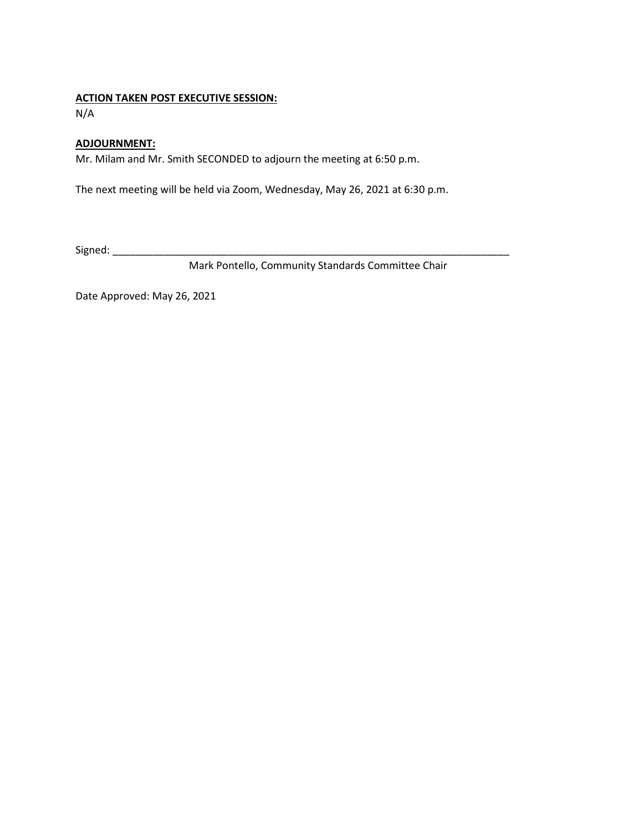#### **ACTION TAKEN POST EXECUTIVE SESSION:**

N/A

#### **ADJOURNMENT:**

Mr. Milam and Mr. Smith SECONDED to adjourn the meeting at 6:50 p.m.

The next meeting will be held via Zoom, Wednesday, May 26, 2021 at 6:30 p.m.

Signed: \_\_\_\_\_\_\_\_\_\_\_\_\_\_\_\_\_\_\_\_\_\_\_\_\_\_\_\_\_\_\_\_\_\_\_\_\_\_\_\_\_\_\_\_\_\_\_\_\_\_\_\_\_\_\_\_\_\_\_\_\_\_\_\_\_\_\_\_\_

Mark Pontello, Community Standards Committee Chair

Date Approved: May 26, 2021